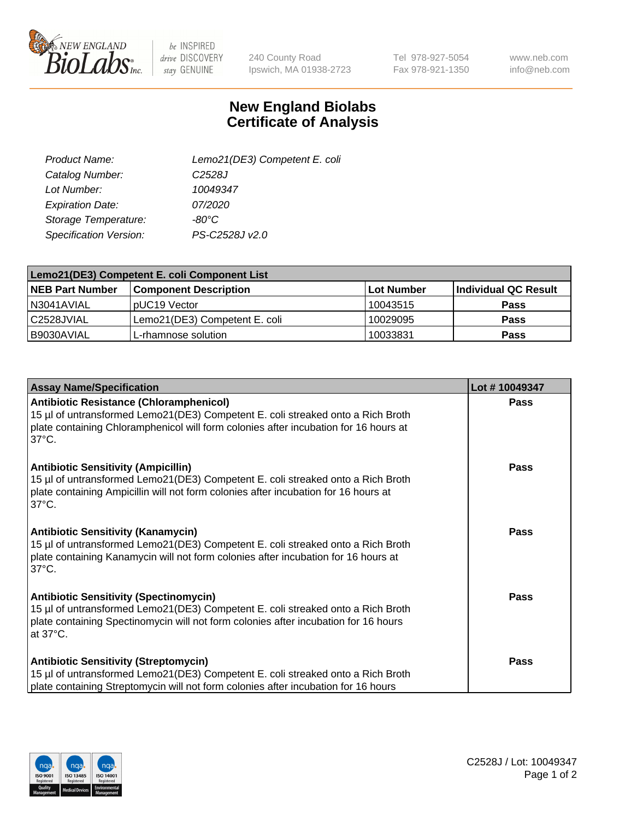

 $be$  INSPIRED drive DISCOVERY stay GENUINE

240 County Road Ipswich, MA 01938-2723 Tel 978-927-5054 Fax 978-921-1350

www.neb.com info@neb.com

## **New England Biolabs Certificate of Analysis**

| Lemo21(DE3) Competent E. coli |
|-------------------------------|
| C <sub>2528</sub> J           |
| 10049347                      |
| 07/2020                       |
| -80°C                         |
| PS-C2528J v2.0                |
|                               |

| Lemo21(DE3) Competent E. coli Component List |                               |                   |                             |  |
|----------------------------------------------|-------------------------------|-------------------|-----------------------------|--|
| <b>NEB Part Number</b>                       | <b>Component Description</b>  | <b>Lot Number</b> | <b>Individual QC Result</b> |  |
| I N3041AVIAL                                 | IpUC19 Vector                 | 10043515          | Pass                        |  |
| C2528JVIAL                                   | Lemo21(DE3) Competent E. coli | 10029095          | <b>Pass</b>                 |  |
| B9030AVIAL                                   | L-rhamnose solution           | 10033831          | <b>Pass</b>                 |  |

| <b>Assay Name/Specification</b>                                                                                                                                                                                                              | Lot #10049347 |
|----------------------------------------------------------------------------------------------------------------------------------------------------------------------------------------------------------------------------------------------|---------------|
| <b>Antibiotic Resistance (Chloramphenicol)</b><br>15 µl of untransformed Lemo21(DE3) Competent E. coli streaked onto a Rich Broth<br>plate containing Chloramphenicol will form colonies after incubation for 16 hours at<br>$37^{\circ}$ C. | Pass          |
| <b>Antibiotic Sensitivity (Ampicillin)</b><br>15 µl of untransformed Lemo21(DE3) Competent E. coli streaked onto a Rich Broth<br>plate containing Ampicillin will not form colonies after incubation for 16 hours at<br>$37^{\circ}$ C.      | Pass          |
| <b>Antibiotic Sensitivity (Kanamycin)</b><br>15 µl of untransformed Lemo21(DE3) Competent E. coli streaked onto a Rich Broth<br>plate containing Kanamycin will not form colonies after incubation for 16 hours at<br>$37^{\circ}$ C.        | <b>Pass</b>   |
| <b>Antibiotic Sensitivity (Spectinomycin)</b><br>15 µl of untransformed Lemo21(DE3) Competent E. coli streaked onto a Rich Broth<br>plate containing Spectinomycin will not form colonies after incubation for 16 hours<br>at 37°C.          | Pass          |
| <b>Antibiotic Sensitivity (Streptomycin)</b><br>15 µl of untransformed Lemo21(DE3) Competent E. coli streaked onto a Rich Broth<br>plate containing Streptomycin will not form colonies after incubation for 16 hours                        | <b>Pass</b>   |